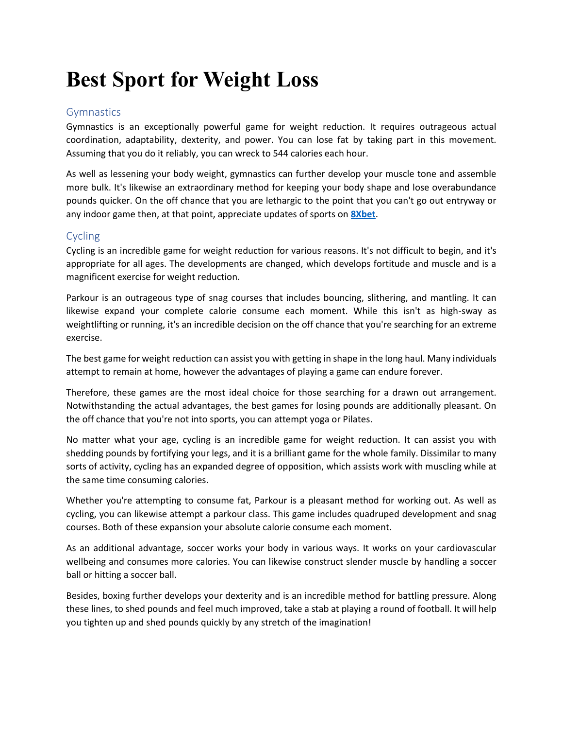## **Best Sport for Weight Loss**

## Gymnastics

Gymnastics is an exceptionally powerful game for weight reduction. It requires outrageous actual coordination, adaptability, dexterity, and power. You can lose fat by taking part in this movement. Assuming that you do it reliably, you can wreck to 544 calories each hour.

As well as lessening your body weight, gymnastics can further develop your muscle tone and assemble more bulk. It's likewise an extraordinary method for keeping your body shape and lose overabundance pounds quicker. On the off chance that you are lethargic to the point that you can't go out entryway or any indoor game then, at that point, appreciate updates of sports on **[8Xbet](https://8xbet.win/)**.

## Cycling

Cycling is an incredible game for weight reduction for various reasons. It's not difficult to begin, and it's appropriate for all ages. The developments are changed, which develops fortitude and muscle and is a magnificent exercise for weight reduction.

Parkour is an outrageous type of snag courses that includes bouncing, slithering, and mantling. It can likewise expand your complete calorie consume each moment. While this isn't as high-sway as weightlifting or running, it's an incredible decision on the off chance that you're searching for an extreme exercise.

The best game for weight reduction can assist you with getting in shape in the long haul. Many individuals attempt to remain at home, however the advantages of playing a game can endure forever.

Therefore, these games are the most ideal choice for those searching for a drawn out arrangement. Notwithstanding the actual advantages, the best games for losing pounds are additionally pleasant. On the off chance that you're not into sports, you can attempt yoga or Pilates.

No matter what your age, cycling is an incredible game for weight reduction. It can assist you with shedding pounds by fortifying your legs, and it is a brilliant game for the whole family. Dissimilar to many sorts of activity, cycling has an expanded degree of opposition, which assists work with muscling while at the same time consuming calories.

Whether you're attempting to consume fat, Parkour is a pleasant method for working out. As well as cycling, you can likewise attempt a parkour class. This game includes quadruped development and snag courses. Both of these expansion your absolute calorie consume each moment.

As an additional advantage, soccer works your body in various ways. It works on your cardiovascular wellbeing and consumes more calories. You can likewise construct slender muscle by handling a soccer ball or hitting a soccer ball.

Besides, boxing further develops your dexterity and is an incredible method for battling pressure. Along these lines, to shed pounds and feel much improved, take a stab at playing a round of football. It will help you tighten up and shed pounds quickly by any stretch of the imagination!